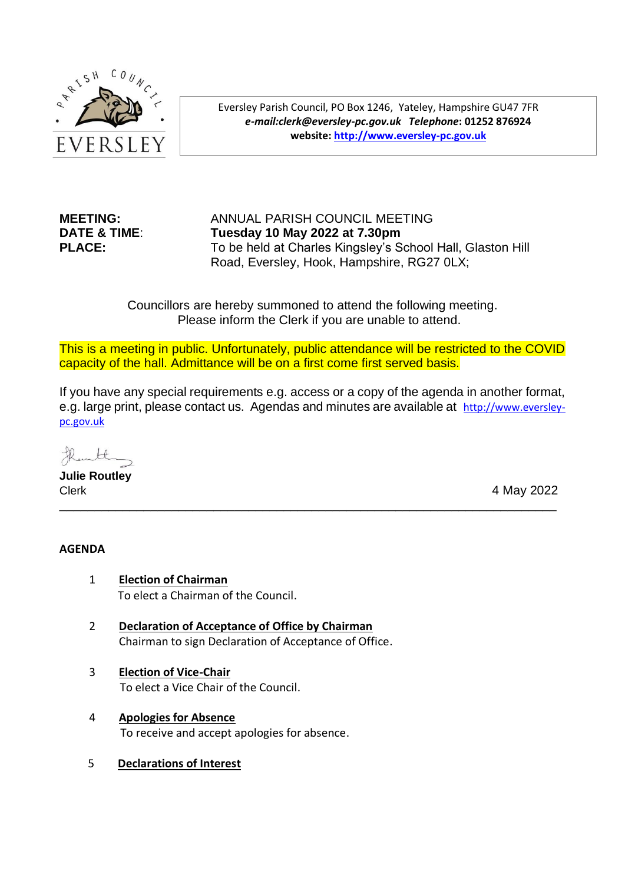

Eversley Parish Council, PO Box 1246, Yateley, Hampshire GU47 7FR *e-mail:clerk@eversley-pc.gov.uk**Telephone***: 01252 876924 website: [http://www.eversley-pc.gov.uk](http://www.eversley-pc.gov.uk/)**

# **MEETING:** ANNUAL PARISH COUNCIL MEETING **DATE & TIME**: **Tuesday 10 May 2022 at 7.30pm PLACE:** To be held at Charles Kingsley's School Hall, Glaston Hill Road, Eversley, Hook, Hampshire, RG27 0LX;

Councillors are hereby summoned to attend the following meeting. Please inform the Clerk if you are unable to attend.

This is a meeting in public. Unfortunately, public attendance will be restricted to the COVID capacity of the hall. Admittance will be on a first come first served basis.

If you have any special requirements e.g. access or a copy of the agenda in another format, e.g. large print, please contact us. Agendas and minutes are available at [http://www.eversley](http://www.eversley-pc.gov.uk/)[pc.gov.uk](http://www.eversley-pc.gov.uk/)

\_\_\_\_\_\_\_\_\_\_\_\_\_\_\_\_\_\_\_\_\_\_\_\_\_\_\_\_\_\_\_\_\_\_\_\_\_\_\_\_\_\_\_\_\_\_\_\_\_\_\_\_\_\_\_\_\_\_\_\_\_\_\_\_\_\_\_\_\_\_\_

inte

**Julie Routley** Clerk 4 May 2022

# **AGENDA**

- 1 **Election of Chairman** To elect a Chairman of the Council.
- 2 **Declaration of Acceptance of Office by Chairman** Chairman to sign Declaration of Acceptance of Office.
- 3 **Election of Vice-Chair** To elect a Vice Chair of the Council.
- 4 **Apologies for Absence**  To receive and accept apologies for absence.
- 5 **Declarations of Interest**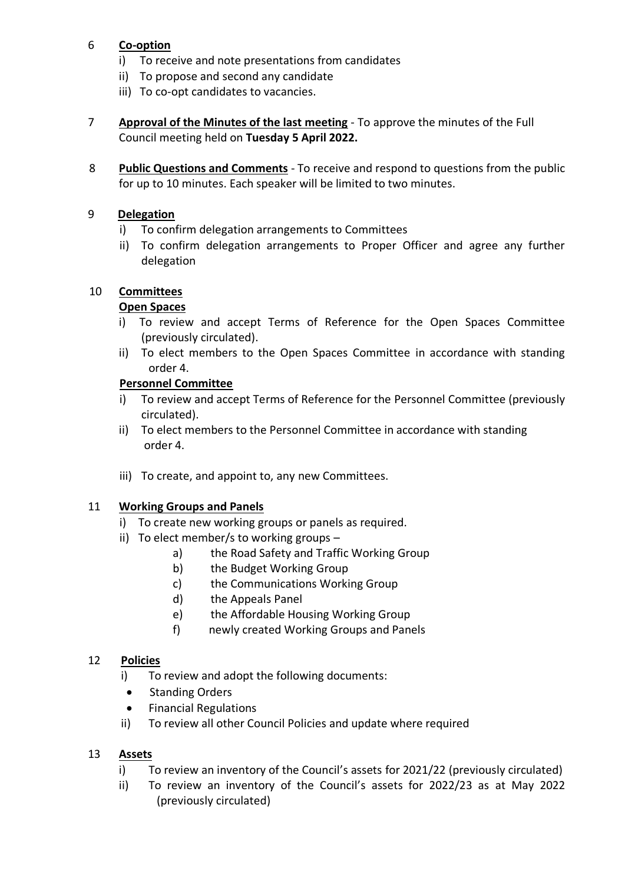# 6 **Co-option**

- i) To receive and note presentations from candidates
- ii) To propose and second any candidate
- iii) To co-opt candidates to vacancies.
- 7 **Approval of the Minutes of the last meeting** To approve the minutes of the Full Council meeting held on **Tuesday 5 April 2022.**
- 8 **Public Questions and Comments** To receive and respond to questions from the public for up to 10 minutes. Each speaker will be limited to two minutes.

#### 9 **Delegation**

- i) To confirm delegation arrangements to Committees
- ii) To confirm delegation arrangements to Proper Officer and agree any further delegation

#### 10 **Committees**

#### **Open Spaces**

- i) To review and accept Terms of Reference for the Open Spaces Committee (previously circulated).
- ii) To elect members to the Open Spaces Committee in accordance with standing order 4.

#### **Personnel Committee**

- i) To review and accept Terms of Reference for the Personnel Committee (previously circulated).
- ii) To elect members to the Personnel Committee in accordance with standing order 4.
- iii) To create, and appoint to, any new Committees.

#### 11 **Working Groups and Panels**

- i) To create new working groups or panels as required.
- ii) To elect member/s to working groups
	- a) the Road Safety and Traffic Working Group
	- b) the Budget Working Group
	- c) the Communications Working Group
	- d) the Appeals Panel
	- e) the Affordable Housing Working Group
	- f) newly created Working Groups and Panels

# 12 **Policies**

- i) To review and adopt the following documents:
- Standing Orders
- Financial Regulations
- ii) To review all other Council Policies and update where required

# 13 **Assets**

- i) To review an inventory of the Council's assets for 2021/22 (previously circulated)
- ii) To review an inventory of the Council's assets for 2022/23 as at May 2022 (previously circulated)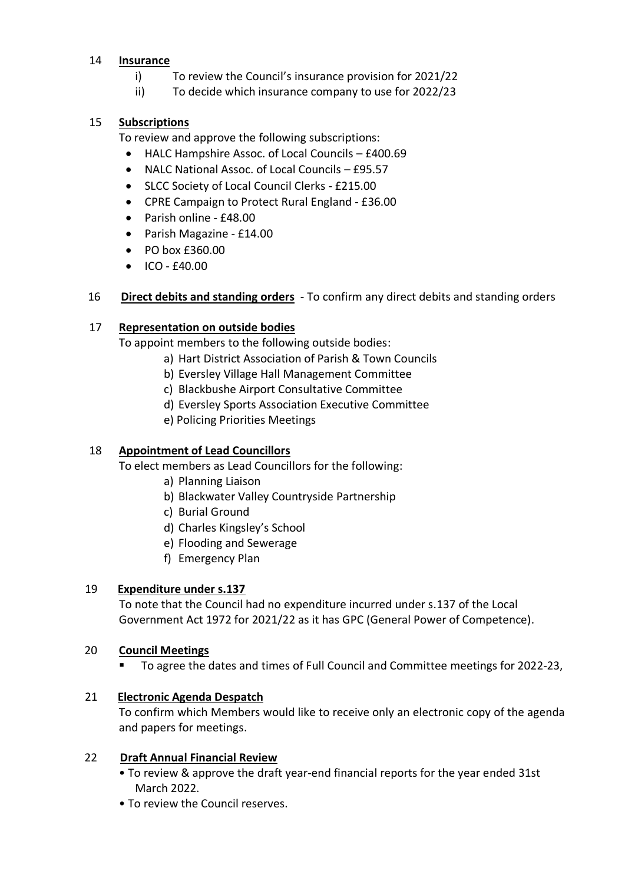#### 14 **Insurance**

- i) To review the Council's insurance provision for 2021/22
- ii) To decide which insurance company to use for 2022/23

# 15 **Subscriptions**

To review and approve the following subscriptions:

- HALC Hampshire Assoc. of Local Councils £400.69
- NALC National Assoc. of Local Councils £95.57
- SLCC Society of Local Council Clerks £215.00
- CPRE Campaign to Protect Rural England £36.00
- Parish online £48.00
- Parish Magazine £14.00
- PO box £360.00
- $\bullet$  ICO  $f40.00$

# 16 **Direct debits and standing orders** - To confirm any direct debits and standing orders

# 17 **Representation on outside bodies**

To appoint members to the following outside bodies:

- a) Hart District Association of Parish & Town Councils
- b) Eversley Village Hall Management Committee
- c) Blackbushe Airport Consultative Committee
- d) Eversley Sports Association Executive Committee
- e) Policing Priorities Meetings

# 18 **Appointment of Lead Councillors**

To elect members as Lead Councillors for the following:

- a) Planning Liaison
- b) Blackwater Valley Countryside Partnership
- c) Burial Ground
- d) Charles Kingsley's School
- e) Flooding and Sewerage
- f) Emergency Plan

# 19 **Expenditure under s.137**

 To note that the Council had no expenditure incurred under s.137 of the Local Government Act 1972 for 2021/22 as it has GPC (General Power of Competence).

# 20 **Council Meetings**

▪ To agree the dates and times of Full Council and Committee meetings for 2022-23,

# 21 **Electronic Agenda Despatch**

To confirm which Members would like to receive only an electronic copy of the agenda and papers for meetings.

# 22 **Draft Annual Financial Review**

- To review & approve the draft year-end financial reports for the year ended 31st March 2022.
- To review the Council reserves.